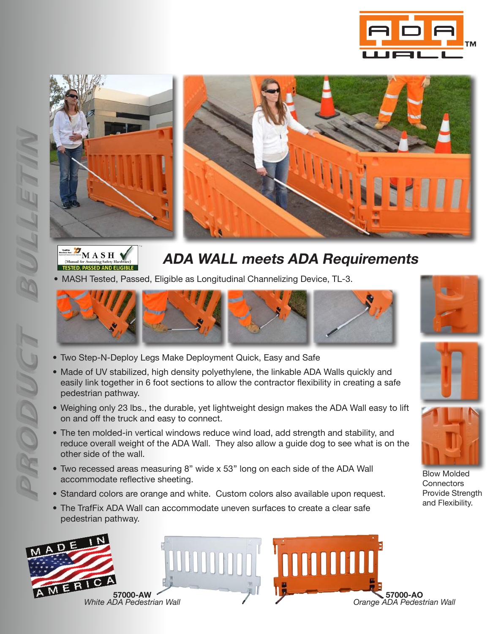





## **ADA WALL meets ADA Requirements**

• MASH Tested, Passed, Eligible as Longitudinal Channelizing Device, TL-3.



- Two Step-N-Deploy Legs Make Deployment Quick, Easy and Safe
- Made of UV stabilized, high density polyethylene, the linkable ADA Walls quickly and easily link together in 6 foot sections to allow the contractor flexibility in creating a safe pedestrian pathway.
- Weighing only 23 lbs., the durable, yet lightweight design makes the ADA Wall easy to lift on and off the truck and easy to connect.
- The ten molded-in vertical windows reduce wind load, add strength and stability, and reduce overall weight of the ADA Wall. They also allow a guide dog to see what is on the other side of the wall.
- Two recessed areas measuring 8" wide x 53'' long on each side of the ADA Wall accommodate reflective sheeting.
- Standard colors are orange and white. Custom colors also available upon request.
- The TrafFix ADA Wall can accommodate uneven surfaces to create a clear safe pedestrian pathway.













Blow Molded **Connectors** Provide Strength and Flexibility.